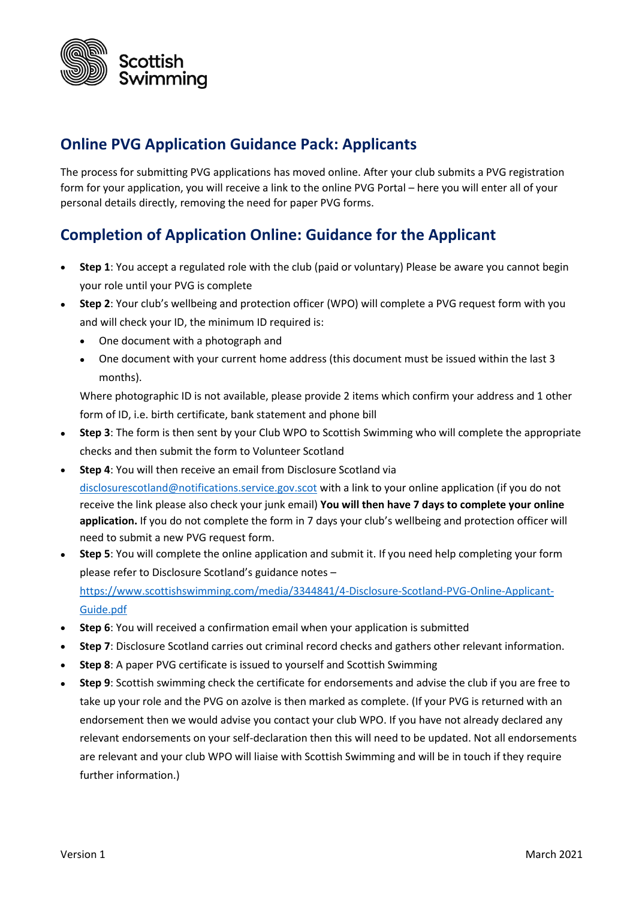

## **Online PVG Application Guidance Pack: Applicants**

The process for submitting PVG applications has moved online. After your club submits a PVG registration form for your application, you will receive a link to the online PVG Portal – here you will enter all of your personal details directly, removing the need for paper PVG forms.

## **Completion of Application Online: Guidance for the Applicant**

- **Step 1**: You accept a regulated role with the club (paid or voluntary) Please be aware you cannot begin your role until your PVG is complete
- **Step 2**: Your club's wellbeing and protection officer (WPO) will complete a PVG request form with you and will check your ID, the minimum ID required is:
	- One document with a photograph and
	- One document with your current home address (this document must be issued within the last 3 months).

Where photographic ID is not available, please provide 2 items which confirm your address and 1 other form of ID, i.e. birth certificate, bank statement and phone bill

- **Step 3**: The form is then sent by your Club WPO to Scottish Swimming who will complete the appropriate checks and then submit the form to Volunteer Scotland
- **Step 4**: You will then receive an email from Disclosure Scotland via [disclosurescotland@notifications.service.gov.scot](mailto:disclosurescotland@notifications.service.gov.scot) with a link to your online application (if you do not receive the link please also check your junk email) **You will then have 7 days to complete your online application.** If you do not complete the form in 7 days your club's wellbeing and protection officer will need to submit a new PVG request form.
- **Step 5**: You will complete the online application and submit it. If you need help completing your form please refer to Disclosure Scotland's guidance notes – [https://www.scottishswimming.com/media/3344841/4-Disclosure-Scotland-PVG-Online-Applicant-](https://www.scottishswimming.com/media/3344841/4-Disclosure-Scotland-PVG-Online-Applicant-Guide.pdf)[Guide.pdf](https://www.scottishswimming.com/media/3344841/4-Disclosure-Scotland-PVG-Online-Applicant-Guide.pdf)
- **Step 6**: You will received a confirmation email when your application is submitted
- **Step 7**: Disclosure Scotland carries out criminal record checks and gathers other relevant information.
- **Step 8**: A paper PVG certificate is issued to yourself and Scottish Swimming
- **Step 9**: Scottish swimming check the certificate for endorsements and advise the club if you are free to take up your role and the PVG on azolve is then marked as complete. (If your PVG is returned with an endorsement then we would advise you contact your club WPO. If you have not already declared any relevant endorsements on your self-declaration then this will need to be updated. Not all endorsements are relevant and your club WPO will liaise with Scottish Swimming and will be in touch if they require further information.)